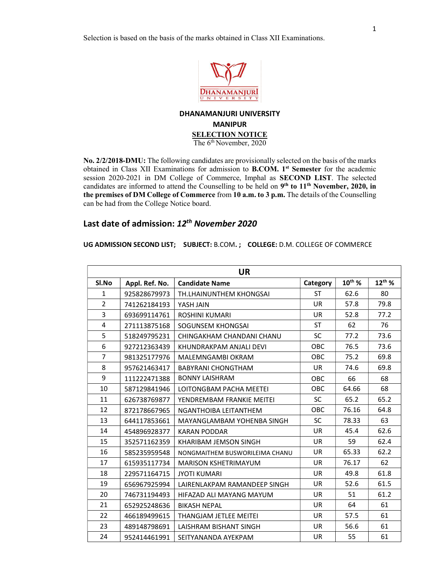Selection is based on the basis of the marks obtained in Class XII Examinations.



## DHANAMANJURI UNIVERSITY MANIPUR SELECTION NOTICE

The 6<sup>th</sup> November, 2020

No. 2/2/2018-DMU: The following candidates are provisionally selected on the basis of the marks obtained in Class XII Examinations for admission to **B.COM.** 1<sup>st</sup> Semester for the academic session 2020-2021 in DM College of Commerce, Imphal as SECOND LIST. The selected candidates are informed to attend the Counselling to be held on  $9<sup>th</sup>$  to  $11<sup>th</sup>$  November, 2020, in the premises of DM College of Commerce from 10 a.m. to 3 p.m. The details of the Counselling can be had from the College Notice board.

## Last date of admission: 12<sup>th</sup> November 2020

UG ADMISSION SECOND LIST; SUBJECT: B.COM. ; COLLEGE: D.M. COLLEGE OF COMMERCE

| <b>UR</b>      |                |                                |           |             |             |
|----------------|----------------|--------------------------------|-----------|-------------|-------------|
| Sl.No          | Appl. Ref. No. | <b>Candidate Name</b>          | Category  | $10^{th}$ % | $12^{th}$ % |
| $\mathbf{1}$   | 925828679973   | TH.LHAINUNTHEM KHONGSAI        | <b>ST</b> | 62.6        | 80          |
| $\overline{2}$ | 741262184193   | YASH JAIN                      | <b>UR</b> | 57.8        | 79.8        |
| 3              | 693699114761   | <b>ROSHINI KUMARI</b>          | <b>UR</b> | 52.8        | 77.2        |
| 4              | 271113875168   | SOGUNSEM KHONGSAI              | <b>ST</b> | 62          | 76          |
| 5              | 518249795231   | CHINGAKHAM CHANDANI CHANU      | <b>SC</b> | 77.2        | 73.6        |
| 6              | 927212363439   | KHUNDRAKPAM ANJALI DEVI        | OBC       | 76.5        | 73.6        |
| $\overline{7}$ | 981325177976   | <b>MALEMNGAMBI OKRAM</b>       | OBC       | 75.2        | 69.8        |
| 8              | 957621463417   | <b>BABYRANI CHONGTHAM</b>      | <b>UR</b> | 74.6        | 69.8        |
| 9              | 111222471388   | <b>BONNY LAISHRAM</b>          | OBC       | 66          | 68          |
| 10             | 587129841946   | LOITONGBAM PACHA MEETEI        | OBC       | 64.66       | 68          |
| 11             | 626738769877   | YENDREMBAM FRANKIE MEITEI      | SC        | 65.2        | 65.2        |
| 12             | 872178667965   | NGANTHOIBA LEITANTHEM          | OBC       | 76.16       | 64.8        |
| 13             | 644117853661   | MAYANGLAMBAM YOHENBA SINGH     | <b>SC</b> | 78.33       | 63          |
| 14             | 454896928377   | <b>KARAN PODDAR</b>            | <b>UR</b> | 45.4        | 62.6        |
| 15             | 352571162359   | KHARIBAM JEMSON SINGH          | UR.       | 59          | 62.4        |
| 16             | 585235959548   | NONGMAITHEM BUSWORILEIMA CHANU | <b>UR</b> | 65.33       | 62.2        |
| 17             | 615935117734   | <b>MARISON KSHETRIMAYUM</b>    | <b>UR</b> | 76.17       | 62          |
| 18             | 229571164715   | <b>JYOTI KUMARI</b>            | UR.       | 49.8        | 61.8        |
| 19             | 656967925994   | LAIRENLAKPAM RAMANDEEP SINGH   | UR.       | 52.6        | 61.5        |
| 20             | 746731194493   | HIFAZAD ALI MAYANG MAYUM       | <b>UR</b> | 51          | 61.2        |
| 21             | 652925248636   | <b>BIKASH NEPAL</b>            | UR.       | 64          | 61          |
| 22             | 466189499615   | THANGJAM JETLEE MEITEI         | UR.       | 57.5        | 61          |
| 23             | 489148798691   | <b>LAISHRAM BISHANT SINGH</b>  | <b>UR</b> | 56.6        | 61          |
| 24             | 952414461991   | SEITYANANDA AYEKPAM            | UR.       | 55          | 61          |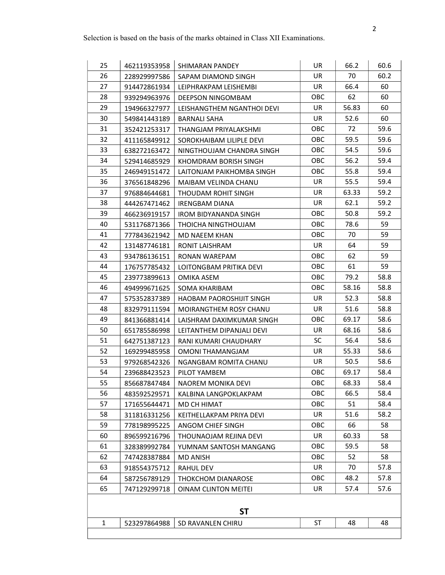| 25           | 462119353958 | SHIMARAN PANDEY              | UR.        | 66.2  | 60.6 |  |
|--------------|--------------|------------------------------|------------|-------|------|--|
| 26           | 228929997586 | SAPAM DIAMOND SINGH          | UR.        | 70    | 60.2 |  |
| 27           | 914472861934 | LEIPHRAKPAM LEISHEMBI        | UR         | 66.4  | 60   |  |
| 28           | 939294963976 | DEEPSON NINGOMBAM            | OBC        | 62    | 60   |  |
| 29           | 194966327977 | LEISHANGTHEM NGANTHOI DEVI   | UR         | 56.83 | 60   |  |
| 30           | 549841443189 | <b>BARNALI SAHA</b>          | UR         | 52.6  | 60   |  |
| 31           | 352421253317 | THANGJAM PRIYALAKSHMI        | OBC        | 72    | 59.6 |  |
| 32           | 411165849912 | SOROKHAIBAM LILIPLE DEVI     | <b>OBC</b> | 59.5  | 59.6 |  |
| 33           | 638272163472 | NINGTHOUJAM CHANDRA SINGH    | <b>OBC</b> | 54.5  | 59.6 |  |
| 34           | 529414685929 | KHOMDRAM BORISH SINGH        | OBC        | 56.2  | 59.4 |  |
| 35           | 246949151472 | LAITONJAM PAIKHOMBA SINGH    | OBC        | 55.8  | 59.4 |  |
| 36           | 376561848296 | MAIBAM VELINDA CHANU         | UR         | 55.5  | 59.4 |  |
| 37           | 976884644681 | THOUDAM ROHIT SINGH          | UR         | 63.33 | 59.2 |  |
| 38           | 444267471462 | <b>IRENGBAM DIANA</b>        | UR         | 62.1  | 59.2 |  |
| 39           | 466236919157 | <b>IROM BIDYANANDA SINGH</b> | <b>OBC</b> | 50.8  | 59.2 |  |
| 40           | 531176871366 | THOICHA NINGTHOUJAM          | OBC        | 78.6  | 59   |  |
| 41           | 777843621942 | <b>MD NAEEM KHAN</b>         | OBC        | 70    | 59   |  |
| 42           | 131487746181 | RONIT LAISHRAM               | UR         | 64    | 59   |  |
| 43           | 934786136151 | <b>RONAN WAREPAM</b>         | OBC        | 62    | 59   |  |
| 44           | 176757785432 | LOITONGBAM PRITIKA DEVI      | OBC        | 61    | 59   |  |
| 45           | 239773899613 | OMIKA ASEM                   | <b>OBC</b> | 79.2  | 58.8 |  |
| 46           | 494999671625 | SOMA KHARIBAM                | OBC        | 58.16 | 58.8 |  |
| 47           | 575352837389 | HAOBAM PAOROSHIJIT SINGH     | UR.        | 52.3  | 58.8 |  |
| 48           | 832979111594 | MOIRANGTHEM ROSY CHANU       | UR.        | 51.6  | 58.8 |  |
| 49           | 841366881414 | LAISHRAM DAXIMKUMAR SINGH    | OBC        | 69.17 | 58.6 |  |
| 50           | 651785586998 | LEITANTHEM DIPANJALI DEVI    | UR         | 68.16 | 58.6 |  |
| 51           | 642751387123 | RANI KUMARI CHAUDHARY        | <b>SC</b>  | 56.4  | 58.6 |  |
| 52           | 169299485958 | <b>OMONI THAMANGJAM</b>      | UR         | 55.33 | 58.6 |  |
| 53           | 979268542326 | NGANGBAM ROMITA CHANU        | UR         | 50.5  | 58.6 |  |
| 54           | 239688423523 | PILOT YAMBEM                 | OBC        | 69.17 | 58.4 |  |
| 55           | 856687847484 | NAOREM MONIKA DEVI           | OBC        | 68.33 | 58.4 |  |
| 56           | 483592529571 | KALBINA LANGPOKLAKPAM        | OBC        | 66.5  | 58.4 |  |
| 57           | 171655644471 | MD CH HIMAT                  | OBC        | 51    | 58.4 |  |
| 58           | 311816331256 | KEITHELLAKPAM PRIYA DEVI     | UR         | 51.6  | 58.2 |  |
| 59           | 778198995225 | ANGOM CHIEF SINGH            | OBC        | 66    | 58   |  |
| 60           | 896599216796 | THOUNAOJAM REJINA DEVI       | UR         | 60.33 | 58   |  |
| 61           | 328389992784 | YUMNAM SANTOSH MANGANG       | OBC        | 59.5  | 58   |  |
| 62           | 747428387884 | <b>MD ANISH</b>              | OBC        | 52    | 58   |  |
| 63           | 918554375712 | <b>RAHUL DEV</b>             | UR         | 70    | 57.8 |  |
| 64           | 587256789129 | <b>THOKCHOM DIANAROSE</b>    | OBC        | 48.2  | 57.8 |  |
| 65           | 747129299718 | <b>OINAM CLINTON MEITEI</b>  | UR         | 57.4  | 57.6 |  |
|              |              |                              |            |       |      |  |
| <b>ST</b>    |              |                              |            |       |      |  |
| $\mathbf{1}$ | 523297864988 | SD RAVANLEN CHIRU            | ST         | 48    | 48   |  |
|              |              |                              |            |       |      |  |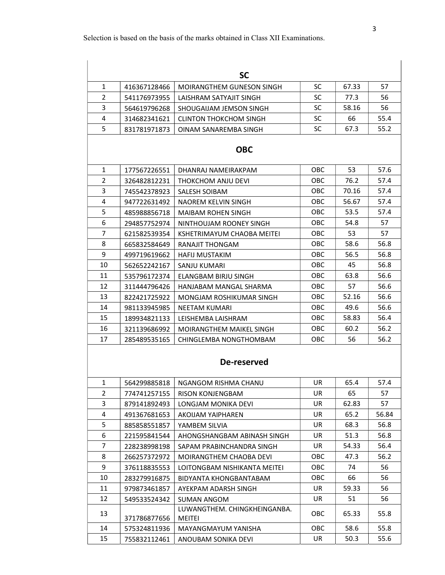|                |              | <b>SC</b>                              |            |       |       |  |  |
|----------------|--------------|----------------------------------------|------------|-------|-------|--|--|
| $\mathbf{1}$   | 416367128466 | <b>MOIRANGTHEM GUNESON SINGH</b>       | <b>SC</b>  | 67.33 | 57    |  |  |
| $\overline{2}$ | 541176973955 | LAISHRAM SATYAJIT SINGH                | <b>SC</b>  | 77.3  | 56    |  |  |
| 3              | 564619796268 | SHOUGAIJAM JEMSON SINGH                | <b>SC</b>  | 58.16 | 56    |  |  |
| 4              | 314682341621 | <b>CLINTON THOKCHOM SINGH</b>          | <b>SC</b>  | 66    | 55.4  |  |  |
| 5              | 831781971873 | OINAM SANAREMBA SINGH                  | <b>SC</b>  | 67.3  | 55.2  |  |  |
| <b>OBC</b>     |              |                                        |            |       |       |  |  |
| $\mathbf{1}$   | 177567226551 | DHANRAJ NAMEIRAKPAM                    | <b>OBC</b> | 53    | 57.6  |  |  |
| $\overline{2}$ | 326482812231 | THOKCHOM ANJU DEVI                     | OBC        | 76.2  | 57.4  |  |  |
| 3              | 745542378923 | <b>SALESH SOIBAM</b>                   | OBC        | 70.16 | 57.4  |  |  |
| 4              | 947722631492 | NAOREM KELVIN SINGH                    | OBC        | 56.67 | 57.4  |  |  |
| 5              | 485988856718 | MAIBAM ROHEN SINGH                     | OBC        | 53.5  | 57.4  |  |  |
| 6              | 294857752974 | NINTHOUJAM ROONEY SINGH                | OBC        | 54.8  | 57    |  |  |
| $\overline{7}$ | 621582539354 | KSHETRIMAYUM CHAOBA MEITEI             | OBC        | 53    | 57    |  |  |
| 8              | 665832584649 | RANAJIT THONGAM                        | OBC        | 58.6  | 56.8  |  |  |
| 9              | 499719619662 | <b>HAFIJ MUSTAKIM</b>                  | OBC        | 56.5  | 56.8  |  |  |
| 10             | 562652242167 | SANJU KUMARI                           | <b>OBC</b> | 45    | 56.8  |  |  |
| 11             | 535796172374 | ELANGBAM BIRJU SINGH                   | OBC        | 63.8  | 56.6  |  |  |
| 12             | 311444796426 | HANJABAM MANGAL SHARMA                 | OBC        | 57    | 56.6  |  |  |
| 13             | 822421725922 | MONGJAM ROSHIKUMAR SINGH               | OBC        | 52.16 | 56.6  |  |  |
| 14             | 981133945985 | NEETAM KUMARI                          | OBC        | 49.6  | 56.6  |  |  |
| 15             | 189934821133 | LEISHEMBA LAISHRAM                     | OBC        | 58.83 | 56.4  |  |  |
| 16             | 321139686992 | MOIRANGTHEM MAIKEL SINGH               | OBC        | 60.2  | 56.2  |  |  |
| 17             | 285489535165 | CHINGLEMBA NONGTHOMBAM                 | OBC        | 56    | 56.2  |  |  |
|                |              | De-reserved                            |            |       |       |  |  |
| 1              | 564299885818 | NGANGOM RISHMA CHANU                   | UR         | 65.4  | 57.4  |  |  |
| 2              | 774741257155 | <b>RISON KONJENGBAM</b>                | UR.        | 65    | 57    |  |  |
| 3              | 879141892493 | LONGJAM MONIKA DEVI                    | UR         | 62.83 | 57    |  |  |
| 4              | 491367681653 | AKOIJAM YAIPHAREN                      | UR.        | 65.2  | 56.84 |  |  |
| 5              | 885858551857 | YAMBEM SILVIA                          | UR.        | 68.3  | 56.8  |  |  |
| 6              | 221595841544 | AHONGSHANGBAM ABINASH SINGH            | UR         | 51.3  | 56.8  |  |  |
| 7              | 228238998198 | SAPAM PRABINCHANDRA SINGH              | UR         | 54.33 | 56.4  |  |  |
| 8              | 266257372972 | MOIRANGTHEM CHAOBA DEVI                | OBC        | 47.3  | 56.2  |  |  |
| 9              | 376118835553 | LOITONGBAM NISHIKANTA MEITEI           | OBC        | 74    | 56    |  |  |
| 10             | 283279916875 | BIDYANTA KHONGBANTABAM                 | OBC        | 66    | 56    |  |  |
| 11             | 979873461857 | AYEKPAM ADARSH SINGH                   | UR         | 59.33 | 56    |  |  |
| 12             | 549533524342 | <b>SUMAN ANGOM</b>                     | UR         | 51    | 56    |  |  |
| 13             | 371786877656 | LUWANGTHEM. CHINGKHEINGANBA.<br>MEITEI | OBC        | 65.33 | 55.8  |  |  |
| 14             | 575324811936 | MAYANGMAYUM YANISHA                    | OBC        | 58.6  | 55.8  |  |  |
| 15             | 755832112461 | ANOUBAM SONIKA DEVI                    | UR         | 50.3  | 55.6  |  |  |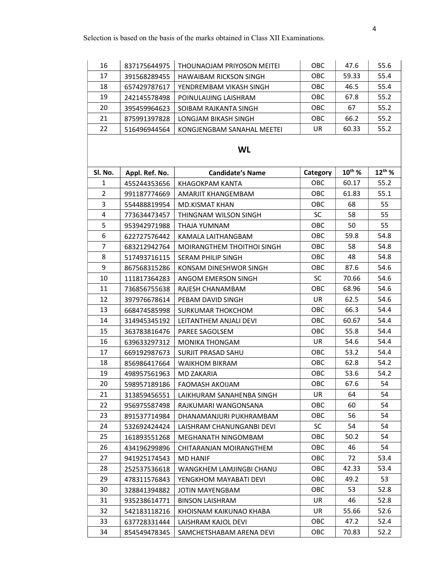| 16             | 837175644975   | THOUNAOJAM PRIYOSON MEITEI    | OBC        | 47.6        | 55.6        |  |  |
|----------------|----------------|-------------------------------|------------|-------------|-------------|--|--|
| 17             | 391568289455   | <b>HAWAIBAM RICKSON SINGH</b> | OBC        | 59.33       | 55.4        |  |  |
| 18             | 657429787617   | YENDREMBAM VIKASH SINGH       | OBC        | 46.5        | 55.4        |  |  |
| 19             | 242145578498   | POINULAIJING LAISHRAM         | OBC        | 67.8        | 55.2        |  |  |
| 20             | 395459964623   | SOIBAM RAJKANTA SINGH         | <b>OBC</b> | 67          | 55.2        |  |  |
| 21             | 875991397828   | LONGJAM BIKASH SINGH          | OBC        | 66.2        | 55.2        |  |  |
| 22             | 516496944564   | KONGJENGBAM SANAHAL MEETEI    | UR         | 60.33       | 55.2        |  |  |
| <b>WL</b>      |                |                               |            |             |             |  |  |
| Sl. No.        | Appl. Ref. No. | <b>Candidate's Name</b>       | Category   | $10^{th}$ % | $12^{th}$ % |  |  |
| $\mathbf{1}$   | 455244353656   | KHAGOKPAM KANTA               | <b>OBC</b> | 60.17       | 55.2        |  |  |
| $\overline{2}$ | 991187774669   | AMARJIT KHANGEMBAM            | OBC        | 61.83       | 55.1        |  |  |
| 3              | 554488819954   | MD.KISMAT KHAN                | <b>OBC</b> | 68          | 55          |  |  |
| 4              | 773634473457   | THINGNAM WILSON SINGH         | <b>SC</b>  | 58          | 55          |  |  |
| 5              | 953942971988   | THAJA YUMNAM                  | <b>OBC</b> | 50          | 55          |  |  |
| 6              | 622727576442   | KAMALA LAITHANGBAM            | <b>OBC</b> | 59.8        | 54.8        |  |  |
| 7              | 683212942764   | MOIRANGTHEM THOITHOI SINGH    | OBC        | 58          | 54.8        |  |  |
| 8              | 517493716115   | SERAM PHILIP SINGH            | <b>OBC</b> | 48          | 54.8        |  |  |
| 9              | 867568315286   | KONSAM DINESHWOR SINGH        | OBC        | 87.6        | 54.6        |  |  |
| 10             | 111817364283   | ANGOM EMERSON SINGH           | <b>SC</b>  | 70.66       | 54.6        |  |  |
| 11             | 736856755638   | RAJESH CHANAMBAM              | OBC        | 68.96       | 54.6        |  |  |
| 12             | 397976678614   | PEBAM DAVID SINGH             | UR         | 62.5        | 54.6        |  |  |
| 13             | 668474585998   | SURKUMAR THOKCHOM             | OBC        | 66.3        | 54.4        |  |  |
| 14             | 314945345192   | LEITANTHEM ANJALI DEVI        | OBC        | 60.67       | 54.4        |  |  |
| 15             | 363783816476   | <b>PAREE SAGOLSEM</b>         | OBC        | 55.8        | 54.4        |  |  |
| 16             | 639633297312   | <b>MONIKA THONGAM</b>         | UR.        | 54.6        | 54.4        |  |  |
| 17             | 669192987673   | SURJIT PRASAD SAHU            | OBC        | 53.2        | 54.4        |  |  |
| 18             | 856986417664   | <b>WAIKHOM BIKRAM</b>         | OBC        | 62.8        | 54.2        |  |  |
| 19             | 498957561963   | <b>MD ZAKARIA</b>             | OBC        | 53.6        | 54.2        |  |  |
| 20             | 598957189186   | <b>FAOMASH AKOIJAM</b>        | OBC        | 67.6        | 54          |  |  |
| 21             | 313859456551   | LAIKHURAM SANAHENBA SINGH     | UR         | 64          | 54          |  |  |
| 22             | 956975587498   | RAJKUMARI WANGONSANA          | OBC        | 60          | 54          |  |  |
| 23             | 891537714984   | DHANAMANJURI PUKHRAMBAM       | OBC        | 56          | 54          |  |  |
| 24             | 532692424424   | LAISHRAM CHANUNGANBI DEVI     | <b>SC</b>  | 54          | 54          |  |  |
| 25             | 161893551268   | MEGHANATH NINGOMBAM           | OBC        | 50.2        | 54          |  |  |
| 26             | 434196299896   | CHITARANJAN MOIRANGTHEM       | OBC        | 46          | 54          |  |  |
| 27             | 941925174543   | <b>MD HANIF</b>               | OBC        | 72          | 53.4        |  |  |
| 28             | 252537536618   | WANGKHEM LAMJINGBI CHANU      | ОВС        | 42.33       | 53.4        |  |  |
| 29             | 478311576843   | YENGKHOM MAYABATI DEVI        | OBC        | 49.2        | 53          |  |  |
| 30             | 328841394882   | <b>JOTIN MAYENGBAM</b>        | OBC        | 53          | 52.8        |  |  |
| 31             | 935238614771   | <b>BINSON LAISHRAM</b>        | UR         | 46          | 52.8        |  |  |
| 32             | 542183118216   | KHOISNAM KAIKUNAO KHABA       | UR         | 55.66       | 52.6        |  |  |
| 33             | 637728331444   | LAISHRAM KAJOL DEVI           | OBC        | 47.2        | 52.4        |  |  |
| 34             | 854549478345   | SAMCHETSHABAM ARENA DEVI      | OBC        | 70.83       | 52.2        |  |  |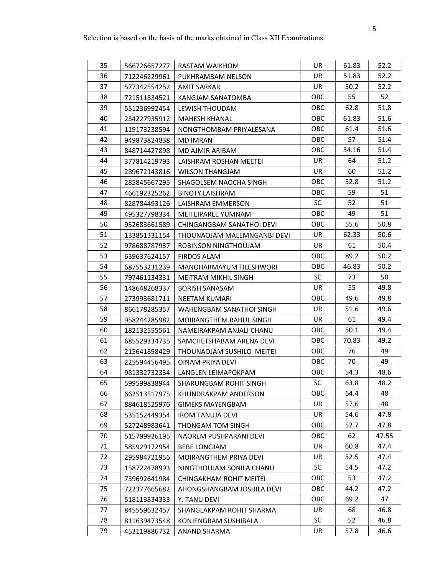| 35 | 566726657277 | <b>RASTAM WAIKHOM</b>       | UR         | 61.83 | 52.2  |
|----|--------------|-----------------------------|------------|-------|-------|
| 36 | 712246229961 | PUKHRAMBAM NELSON           | UR.        | 51.83 | 52.2  |
| 37 | 577342554252 | AMIT SARKAR                 | UR         | 50.2  | 52.2  |
| 38 | 721511834521 | KANGJAM SANATOMBA           | <b>OBC</b> | 55    | 52    |
| 39 | 551236992454 | LEWISH THOUDAM              | OBC        | 62.8  | 51.8  |
| 40 | 234227935912 | <b>MAHESH KHANAL</b>        | <b>OBC</b> | 61.83 | 51.6  |
| 41 | 119173238594 | NONGTHOMBAM PRIYALESANA     | OBC        | 61.4  | 51.6  |
| 42 | 949873824838 | <b>MD IMRAN</b>             | OBC        | 57    | 51.4  |
| 43 | 848714427898 | MD AJMIR ARIBAM             | <b>OBC</b> | 54.16 | 51.4  |
| 44 | 377814219793 | LAISHRAM ROSHAN MEETEI      | UR         | 64    | 51.2  |
| 45 | 289672143816 | <b>WILSON THANGJAM</b>      | UR         | 60    | 51.2  |
| 46 | 285845667295 | SHAGOLSEM NAOCHA SINGH      | <b>OBC</b> | 52.8  | 51.2  |
| 47 | 466192325262 | <b>BINOTY LAISHRAM</b>      | <b>OBC</b> | 59    | 51    |
| 48 | 828784493126 | LAISHRAM EMMERSON           | <b>SC</b>  | 52    | 51    |
| 49 | 495327798334 | <b>MEITEIPAREE YUMNAM</b>   | <b>OBC</b> | 49    | 51    |
| 50 | 952683661589 | CHINGANGBAM SANATHOI DEVI   | <b>OBC</b> | 55.6  | 50.8  |
| 51 | 133851331154 | THOUNAOJAM MALEMNGANBI DEVI | UR         | 62.33 | 50.6  |
| 52 | 978688787937 | ROBINSON NINGTHOUJAM        | UR         | 61    | 50.4  |
| 53 | 639637624157 | <b>FIRDOS ALAM</b>          | <b>OBC</b> | 89.2  | 50.2  |
| 54 | 687553231239 | MANOHARMAYUM TILESHWORI     | <b>OBC</b> | 46.83 | 50.2  |
| 55 | 797461134331 | MEITRAM MIKHIL SINGH        | <b>SC</b>  | 73    | 50    |
| 56 | 148648268337 | <b>BORISH SANASAM</b>       | UR         | 55    | 49.8  |
| 57 | 273993681711 | NEETAM KUMARI               | <b>OBC</b> | 49.6  | 49.8  |
| 58 | 866178285357 | WAHENGBAM SANATHOI SINGH    | UR         | 51.6  | 49.6  |
| 59 | 958244285982 | MOIRANGTHEM RAHUL SINGH     | UR         | 61    | 49.4  |
| 60 | 182132555561 | NAMEIRAKPAM ANJALI CHANU    | OBC        | 50.1  | 49.4  |
| 61 | 685529334735 | SAMCHETSHABAM ARENA DEVI    | <b>OBC</b> | 70.83 | 49.2  |
| 62 | 215641898429 | THOUNAOJAM SUSHILO MEITEI   | OBC        | 76    | 49    |
| 63 | 225594456495 | OINAM PRIYA DEVI            | <b>OBC</b> | 70    | 49    |
| 64 | 981332732334 | LANGLEN LEIMAPOKPAM         | OBC        | 54.3  | 48.6  |
| 65 | 599599838944 | SHARUNGBAM ROHIT SINGH      | <b>SC</b>  | 63.8  | 48.2  |
| 66 | 662513517975 | KHUNDRAKPAM ANDERSON        | OBC        | 64.4  | 48    |
| 67 | 884618525976 | <b>GIMEKS MAYENGBAM</b>     | UR.        | 57.6  | 48    |
| 68 | 535152449354 | <b>IROM TANUJA DEVI</b>     | UR         | 54.6  | 47.8  |
| 69 | 527248983641 | THONGAM TOM SINGH           | OBC        | 52.7  | 47.8  |
| 70 | 515799926195 | NAOREM PUSHPARANI DEVI      | <b>OBC</b> | 62    | 47.55 |
| 71 | 585929172954 | <b>BEBE LONGJAM</b>         | UR.        | 60.8  | 47.4  |
| 72 | 295984721956 | MOIRANGTHEM PRIYA DEVI      | UR         | 52.5  | 47.4  |
| 73 | 158722478993 | NINGTHOUJAM SONILA CHANU    | <b>SC</b>  | 54.5  | 47.2  |
| 74 | 739692641984 | CHINGAKHAM ROHIT MEITEI     | <b>OBC</b> | 53    | 47.2  |
| 75 | 722377665682 | AHONGSHANGBAM JOSHILA DEVI  | OBC        | 44.2  | 47.2  |
| 76 | 518113834333 | Y. TANU DEVI                | OBC        | 69.2  | 47    |
| 77 | 845559632457 | SHANGLAKPAM ROHIT SHARMA    | UR         | 68    | 46.8  |
| 78 | 811639473548 | KONJENGBAM SUSHIBALA        | <b>SC</b>  | 52    | 46.8  |
| 79 | 453119886732 | ANAND SHARMA                | UR.        | 57.8  | 46.6  |